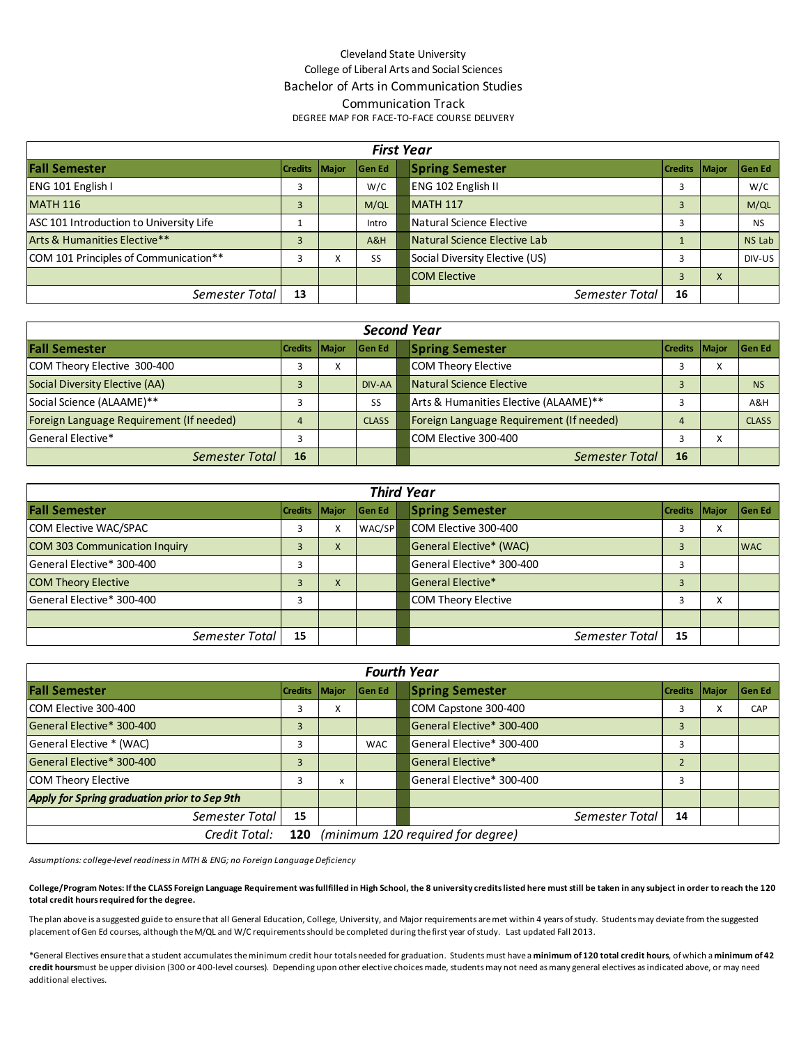## Cleveland State University College of Liberal Arts and Social Sciences Bachelor of Arts in Communication Studies Communication Track DEGREE MAP FOR FACE-TO-FACE COURSE DELIVERY

|                                         |                 | <b>First Year</b> |                                |                 |   |               |
|-----------------------------------------|-----------------|-------------------|--------------------------------|-----------------|---|---------------|
| <b>Fall Semester</b>                    | Credits   Major | <b>Gen Ed</b>     | <b>Spring Semester</b>         | Credits   Major |   | lGen Ed       |
| ENG 101 English I                       | 3               | W/C               | ENG 102 English II             |                 |   | W/C           |
| <b>MATH 116</b>                         |                 | M/QL              | <b>MATH 117</b>                |                 |   | M/QL          |
| ASC 101 Introduction to University Life |                 | Intro             | Natural Science Elective       |                 |   | <b>NS</b>     |
| Arts & Humanities Elective**            |                 | A&H               | Natural Science Elective Lab   |                 |   | <b>NS Lab</b> |
| COM 101 Principles of Communication**   | 3               | <b>SS</b>         | Social Diversity Elective (US) |                 |   | DIV-US        |
|                                         |                 |                   | <b>COM Elective</b>            |                 | X |               |
| Semester Total                          | 13              |                   | Semester Total                 | 16              |   |               |

|                                          | <b>Second Year</b> |   |               |  |                                          |                        |   |               |  |  |  |  |  |  |
|------------------------------------------|--------------------|---|---------------|--|------------------------------------------|------------------------|---|---------------|--|--|--|--|--|--|
| <b>Fall Semester</b>                     | Credits   Major    |   | <b>Gen Ed</b> |  | <b>Spring Semester</b>                   | <b>Credits   Major</b> |   | <b>Gen Ed</b> |  |  |  |  |  |  |
| COM Theory Elective 300-400              |                    | Λ |               |  | COM Theory Elective                      |                        | X |               |  |  |  |  |  |  |
| Social Diversity Elective (AA)           |                    |   | DIV-AA        |  | <b>Natural Science Elective</b>          |                        |   | <b>NS</b>     |  |  |  |  |  |  |
| Social Science (ALAAME)**                |                    |   | <b>SS</b>     |  | Arts & Humanities Elective (ALAAME)**    |                        |   | A&H           |  |  |  |  |  |  |
| Foreign Language Requirement (If needed) |                    |   | <b>CLASS</b>  |  | Foreign Language Requirement (If needed) | 4                      |   | <b>CLASS</b>  |  |  |  |  |  |  |
| General Elective*                        |                    |   |               |  | COM Elective 300-400                     |                        | x |               |  |  |  |  |  |  |
| Semester Total                           | 16                 |   |               |  | Semester Total                           | 16                     |   |               |  |  |  |  |  |  |

|                                      | <b>Third Year</b> |                    |        |  |                            |                        |   |               |  |  |  |  |  |  |
|--------------------------------------|-------------------|--------------------|--------|--|----------------------------|------------------------|---|---------------|--|--|--|--|--|--|
| <b>Fall Semester</b>                 | Credits Major     |                    | Gen Ed |  | <b>Spring Semester</b>     | <b>Credits   Major</b> |   | <b>Gen Ed</b> |  |  |  |  |  |  |
| COM Elective WAC/SPAC                |                   | v<br>∧             | WAC/SP |  | COM Elective 300-400       |                        | X |               |  |  |  |  |  |  |
| <b>COM 303 Communication Inquiry</b> |                   | $\Lambda$          |        |  | General Elective* (WAC)    |                        |   | <b>WAC</b>    |  |  |  |  |  |  |
| General Elective* 300-400            |                   |                    |        |  | General Elective* 300-400  | э                      |   |               |  |  |  |  |  |  |
| <b>COM Theory Elective</b>           |                   | $\mathbf{v}$<br>х. |        |  | General Elective*          |                        |   |               |  |  |  |  |  |  |
| General Elective* 300-400            | 3                 |                    |        |  | <b>COM Theory Elective</b> | h                      | x |               |  |  |  |  |  |  |
|                                      |                   |                    |        |  |                            |                        |   |               |  |  |  |  |  |  |
| Semester Total                       | 15                |                    |        |  | Semester Total             | 15                     |   |               |  |  |  |  |  |  |

|                                              |               |                                   | <b>Fourth Year</b> |  |                           |                 |  |         |  |  |  |
|----------------------------------------------|---------------|-----------------------------------|--------------------|--|---------------------------|-----------------|--|---------|--|--|--|
| <b>Fall Semester</b>                         | Credits Major |                                   | <b>Gen Ed</b>      |  | <b>Spring Semester</b>    | Credits   Major |  | lGen Ed |  |  |  |
| ICOM Elective 300-400                        |               | Χ                                 |                    |  | COM Capstone 300-400      | 3               |  | CAP     |  |  |  |
| General Elective* 300-400                    | 3             |                                   |                    |  | General Elective* 300-400 | 3               |  |         |  |  |  |
| General Elective * (WAC)                     |               |                                   | <b>WAC</b>         |  | General Elective* 300-400 |                 |  |         |  |  |  |
| General Elective* 300-400                    | 3             |                                   |                    |  | General Elective*         |                 |  |         |  |  |  |
| COM Theory Elective                          | 3             | X                                 |                    |  | General Elective* 300-400 | 3               |  |         |  |  |  |
| Apply for Spring graduation prior to Sep 9th |               |                                   |                    |  |                           |                 |  |         |  |  |  |
| Semester Total                               | 15            |                                   |                    |  | Semester Total            | 14              |  |         |  |  |  |
| Credit Total:                                | 120           | (minimum 120 required for degree) |                    |  |                           |                 |  |         |  |  |  |

*Assumptions: college-level readiness in MTH & ENG; no Foreign Language Deficiency*

**College/Program Notes: If the CLASS Foreign Language Requirement was fullfilled in High School, the 8 university credits listed here must still be taken in any subject in order to reach the 120 total credit hours required for the degree.**

The plan above is a suggested guide to ensure that all General Education, College, University, and Major requirements are met within 4 years of study. Students may deviate from the suggested placement of Gen Ed courses, although the M/QL and W/C requirements should be completed during the first year of study. Last updated Fall 2013.

\*General Electives ensure that a student accumulates the minimum credit hour totals needed for graduation. Students must have a **minimum of 120 total credit hours**, of which a **minimum of 42**  credit hoursmust be upper division (300 or 400-level courses). Depending upon other elective choices made, students may not need as many general electives as indicated above, or may need additional electives.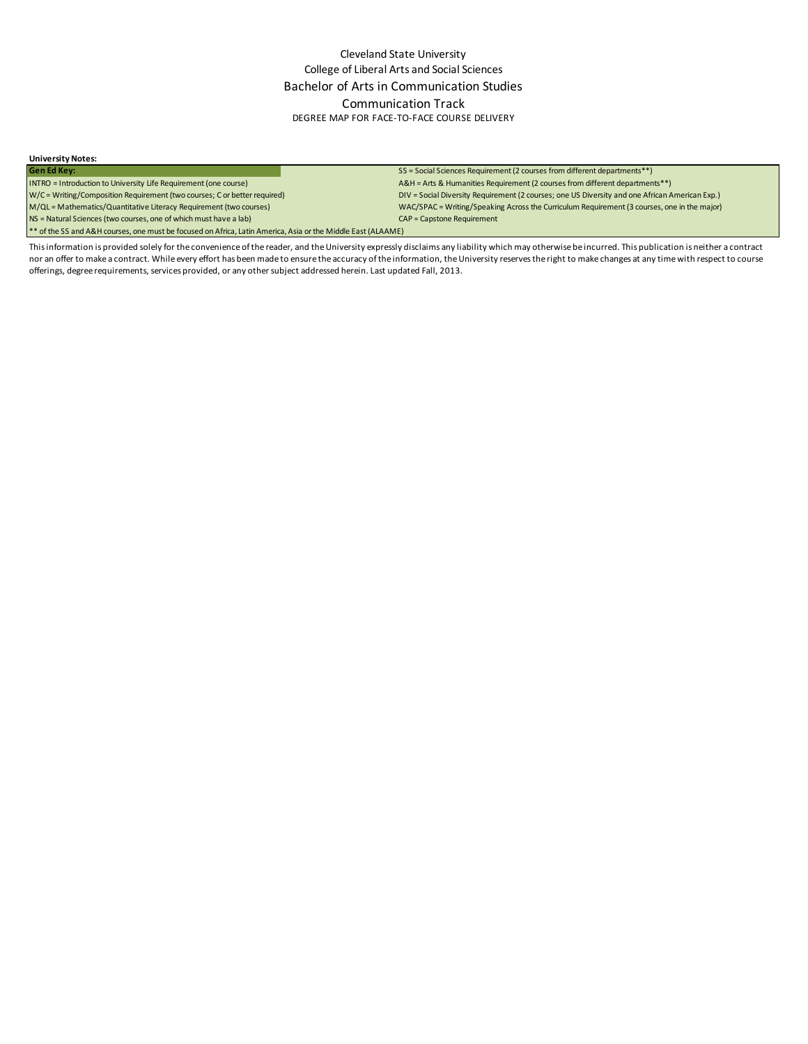#### **University Notes:**

Gen Ed Key:<br>
INTRO = Introduction to University Life Requirement (one course)<br>
SS = Social Sciences Requirement (2 courses from different department \*\*)<br>
A&H = Arts & Humanities Requirement (2 courses from different depart

\*\* of the SS and A&H courses, one must be focused on Africa, Latin America, Asia or the Middle East (ALAAME)

A&H = Arts & Humanities Requirement (2 courses from different departments\*\*) W/C = Writing/Composition Requirement (two courses; C or better required) DIV = Social Diversity Requirement (2 courses; one US Diversity and one African American Exp.) M/QL = Mathematics/Quantitative Literacy Requirement (two courses) WAC/SPAC = Writing/Speaking Across the Curriculum Requirement (3 courses, one in the major) NS = Natural Sciences (two courses, one of which must have a lab) CAP = Capstone Requirement

This information is provided solely for the convenience of the reader, and the University expressly disclaims any liability which may otherwise be incurred. This publication is neither a contract nor an offer to make a contract. While every effort has been made to ensure the accuracy of the information, the University reserves the right to make changes at any time with respect to course offerings, degree requirements, services provided, or any other subject addressed herein. Last updated Fall, 2013.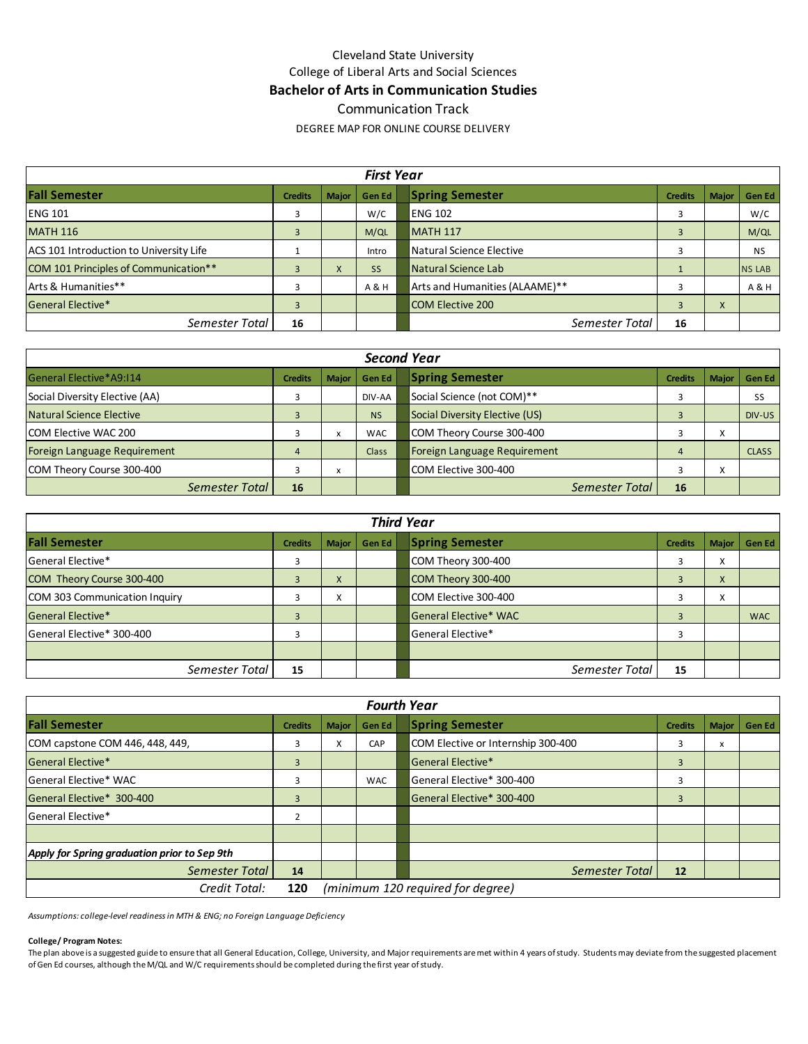## Cleveland State University College of Liberal Arts and Social Sciences **Bachelor of Arts in Communication Studies**  Communication Track

DEGREE MAP FOR ONLINE COURSE DELIVERY

|                                         |                |              | <b>First Year</b> |                                                   |               |
|-----------------------------------------|----------------|--------------|-------------------|---------------------------------------------------|---------------|
| <b>Fall Semester</b>                    | <b>Credits</b> | <b>Major</b> | Gen Ed            | <b>Spring Semester</b><br><b>Credits</b><br>Major | <b>Gen Ed</b> |
| <b>ENG 101</b>                          |                |              | W/C               | <b>ENG 102</b>                                    | W/C           |
| <b>MATH 116</b>                         |                |              | M/QL              | <b>MATH 117</b>                                   | M/QL          |
| ACS 101 Introduction to University Life |                |              | Intro             | Natural Science Elective                          | <b>NS</b>     |
| COM 101 Principles of Communication**   |                | X            | <b>SS</b>         | Natural Science Lab                               | <b>NS LAB</b> |
| Arts & Humanities**                     |                |              | A & H             | Arts and Humanities (ALAAME)**                    | A & H         |
| <b>General Elective*</b>                | 3              |              |                   | <b>COM Elective 200</b><br>$\mathbf{A}$           |               |
| Semester Total                          | 16             |              |                   | Semester Total<br>16                              |               |

|                                |                |                                   | <b>Second Year</b> |                                                          |               |
|--------------------------------|----------------|-----------------------------------|--------------------|----------------------------------------------------------|---------------|
| General Elective*A9:114        | <b>Credits</b> | <b>Major</b>                      | Gen Ed             | <b>Spring Semester</b><br><b>Credits</b><br><b>Major</b> | <b>Gen Ed</b> |
| Social Diversity Elective (AA) |                |                                   | DIV-AA             | Social Science (not COM)**                               | <b>SS</b>     |
| Natural Science Elective       |                |                                   | <b>NS</b>          | Social Diversity Elective (US)                           | DIV-US        |
| <b>COM Elective WAC 200</b>    |                | $\lambda$                         | <b>WAC</b>         | COM Theory Course 300-400<br>Λ                           |               |
| Foreign Language Requirement   | 4              |                                   | Class              | Foreign Language Requirement                             | <b>CLASS</b>  |
| COM Theory Course 300-400      |                | $\ddot{\phantom{0}}$<br>$\lambda$ |                    | COM Elective 300-400<br>Λ                                |               |
| Semester Total                 | 16             |                                   |                    | Semester Total<br>16                                     |               |

|                               | <b>Third Year</b> |                |               |  |                              |                |                   |            |  |  |  |  |  |  |  |
|-------------------------------|-------------------|----------------|---------------|--|------------------------------|----------------|-------------------|------------|--|--|--|--|--|--|--|
| <b>Fall Semester</b>          | <b>Credits</b>    | <b>Major</b>   | <b>Gen Ed</b> |  | <b>Spring Semester</b>       | <b>Credits</b> | <b>Major</b>      | Gen Ed     |  |  |  |  |  |  |  |
| General Elective*             |                   |                |               |  | COM Theory 300-400           |                | $\cdot$<br>∧      |            |  |  |  |  |  |  |  |
| COM Theory Course 300-400     |                   | $\Lambda$      |               |  | COM Theory 300-400           |                | X                 |            |  |  |  |  |  |  |  |
| COM 303 Communication Inquiry |                   | $\lambda$<br>v |               |  | COM Elective 300-400         |                | $\checkmark$<br>∧ |            |  |  |  |  |  |  |  |
| General Elective*             |                   |                |               |  | <b>General Elective* WAC</b> |                |                   | <b>WAC</b> |  |  |  |  |  |  |  |
| General Elective* 300-400     |                   |                |               |  | General Elective*            |                |                   |            |  |  |  |  |  |  |  |
|                               |                   |                |               |  |                              |                |                   |            |  |  |  |  |  |  |  |
| Semester Total                | 15                |                |               |  | Semester Total               | 15             |                   |            |  |  |  |  |  |  |  |

|                                              |                |              | <b>Fourth Year</b> |                                    |                |              |        |
|----------------------------------------------|----------------|--------------|--------------------|------------------------------------|----------------|--------------|--------|
| <b>Fall Semester</b>                         | <b>Credits</b> | <b>Major</b> | <b>Gen Ed</b>      | <b>Spring Semester</b>             | <b>Credits</b> | <b>Major</b> | Gen Ed |
| COM capstone COM 446, 448, 449,              | 3              | X            | CAP                | COM Elective or Internship 300-400 |                | x            |        |
| <b>General Elective*</b>                     | 3              |              |                    | General Elective*                  | 3              |              |        |
| General Elective* WAC                        | 3              |              | <b>WAC</b>         | General Elective* 300-400          |                |              |        |
| General Elective* 300-400                    | 3              |              |                    | General Elective* 300-400          | 3              |              |        |
| General Elective*                            | 2              |              |                    |                                    |                |              |        |
|                                              |                |              |                    |                                    |                |              |        |
| Apply for Spring graduation prior to Sep 9th |                |              |                    |                                    |                |              |        |
| Semester Total                               | 14             |              |                    | Semester Total                     | 12             |              |        |
| Credit Total:                                | 120            |              |                    | (minimum 120 required for degree)  |                |              |        |

*Assumptions: college-level readiness in MTH & ENG; no Foreign Language Deficiency*

### **College/ Program Notes:**

The plan above is a suggested guide to ensure that all General Education, College, University, and Major requirements are met within 4 years of study. Students may deviate from the suggested placement of Gen Ed courses, although the M/QL and W/C requirements should be completed during the first year of study.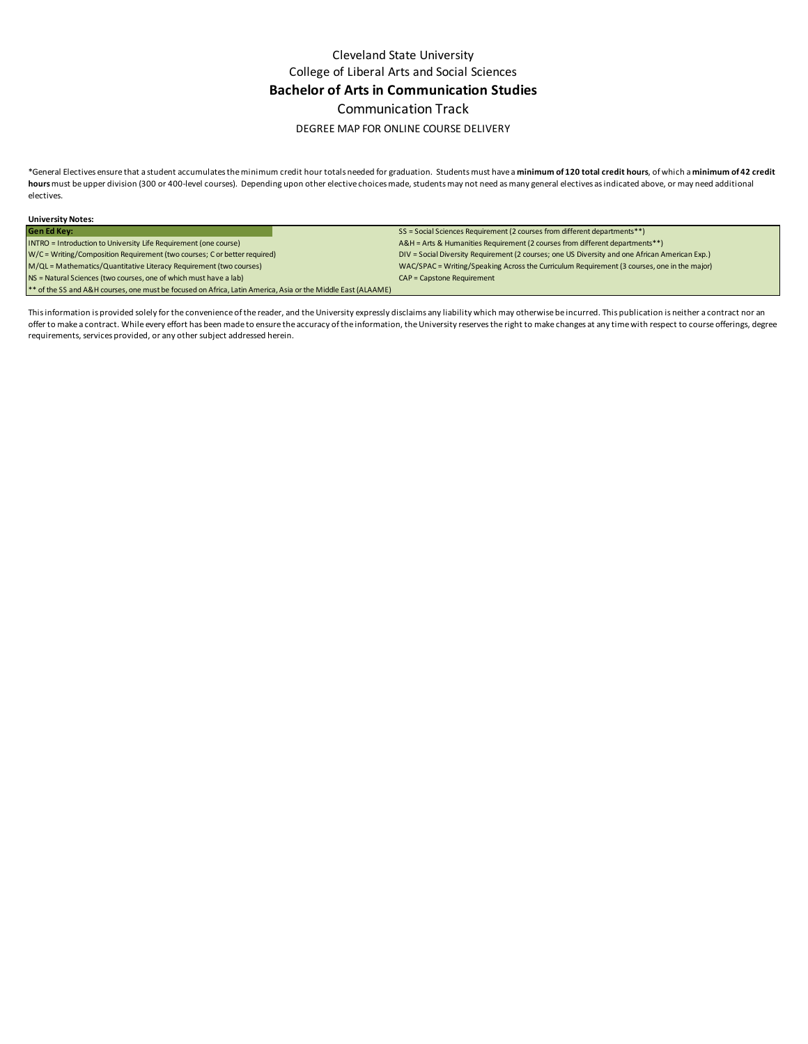Cleveland State University College of Liberal Arts and Social Sciences **Bachelor of Arts in Communication Studies**  Communication Track

### DEGREE MAP FOR ONLINE COURSE DELIVERY

\*General Electives ensure that a student accumulates the minimum credit hour totals needed for graduation. Students must have a **minimum of 120 total credit hours**, of which a **minimum of 42 credit hours** must be upper division (300 or 400-level courses). Depending upon other elective choices made, students may not need as many general electives as indicated above, or may need additional electives.

| <b>University Notes:</b>                                                                                     |                                                                                                |
|--------------------------------------------------------------------------------------------------------------|------------------------------------------------------------------------------------------------|
| <b>Gen Ed Key:</b>                                                                                           | SS = Social Sciences Requirement (2 courses from different departments**)                      |
| INTRO = Introduction to University Life Requirement (one course)                                             | A&H = Arts & Humanities Requirement (2 courses from different departments**)                   |
| W/C = Writing/Composition Requirement (two courses; C or better required)                                    | DIV = Social Diversity Requirement (2 courses; one US Diversity and one African American Exp.) |
| M/QL = Mathematics/Quantitative Literacy Requirement (two courses)                                           | WAC/SPAC = Writing/Speaking Across the Curriculum Requirement (3 courses, one in the major)    |
| NS = Natural Sciences (two courses, one of which must have a lab)                                            | CAP = Capstone Requirement                                                                     |
| ** of the SS and A&H courses, one must be focused on Africa, Latin America, Asia or the Middle East (ALAAME) |                                                                                                |

This information is provided solely for the convenience of the reader, and the University expressly disclaims any liability which may otherwise be incurred. This publication is neither a contract nor an offer to make a contract. While every effort has been made to ensure the accuracy of the information, the University reserves the right to make changes at any time with respect to course offerings, degree requirements, services provided, or any other subject addressed herein.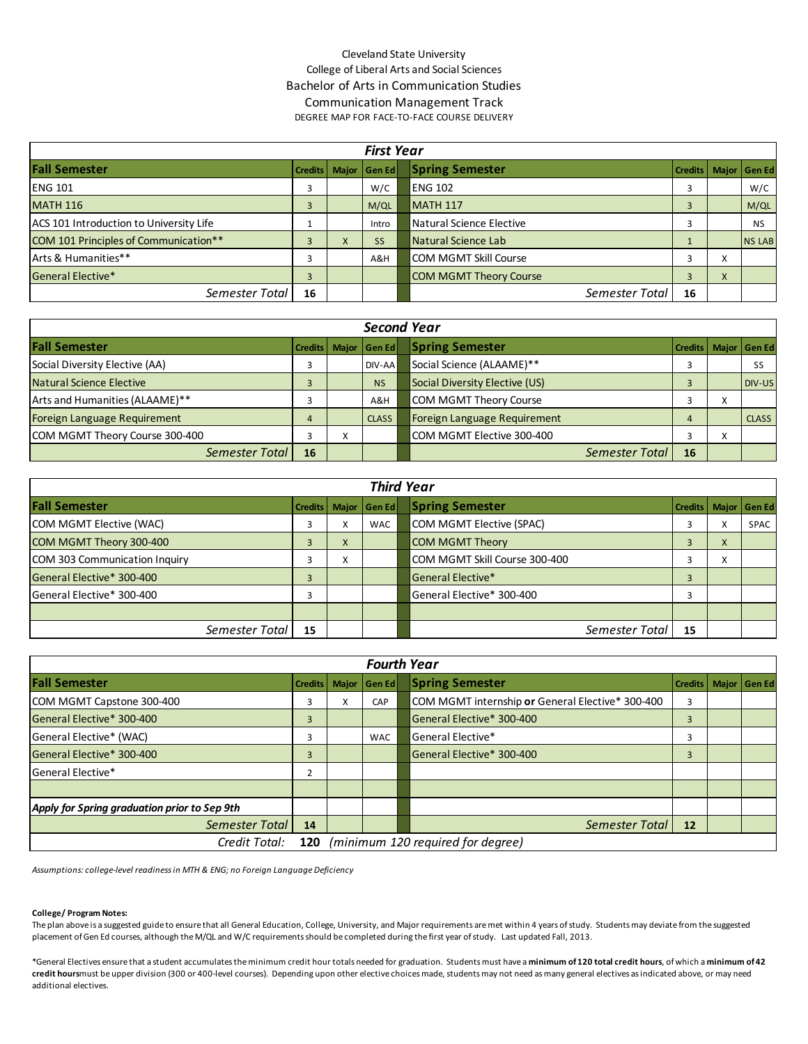## Cleveland State University College of Liberal Arts and Social Sciences Bachelor of Arts in Communication Studies Communication Management Track DEGREE MAP FOR FACE-TO-FACE COURSE DELIVERY

|                                         |                |           | <b>First Year</b> |                               |         |   |                |
|-----------------------------------------|----------------|-----------|-------------------|-------------------------------|---------|---|----------------|
| <b>Fall Semester</b>                    | <b>Credits</b> |           | Major Gen Ed      | <b>Spring Semester</b>        | Credits |   | Major   Gen Ed |
| <b>ENG 101</b>                          | 3              |           | W/C               | <b>ENG 102</b>                | 3       |   | W/C            |
| <b>MATH 116</b>                         | 3              |           | M/QL              | $MATH$ 117                    |         |   | M/QL           |
| ACS 101 Introduction to University Life |                |           | Intro             | Natural Science Elective      |         |   | <b>NS</b>      |
| COM 101 Principles of Communication**   | 3              | $\lambda$ | <b>SS</b>         | Natural Science Lab           |         |   | <b>NS LAB</b>  |
| Arts & Humanities**                     |                |           | A&H               | <b>COM MGMT Skill Course</b>  | 3       | Χ |                |
| <b>General Elective*</b>                | 3              |           |                   | <b>COM MGMT Theory Course</b> | 3       | X |                |
| Semester Total                          | 16             |           |                   | Semester Total                | 16      |   |                |

|                                | <b>Second Year</b> |                           |                 |  |                                |                |                   |                |  |  |  |  |  |  |
|--------------------------------|--------------------|---------------------------|-----------------|--|--------------------------------|----------------|-------------------|----------------|--|--|--|--|--|--|
| <b>Fall Semester</b>           | <b>Credits</b>     |                           | Maior   Gen Edl |  | <b>Spring Semester</b>         | <b>Credits</b> |                   | Major   Gen Ed |  |  |  |  |  |  |
| Social Diversity Elective (AA) | э                  |                           | DIV-AA          |  | Social Science (ALAAME)**      |                |                   | SS             |  |  |  |  |  |  |
| Natural Science Elective       | 3                  |                           | <b>NS</b>       |  | Social Diversity Elective (US) |                |                   | DIV-US         |  |  |  |  |  |  |
| Arts and Humanities (ALAAME)** |                    |                           | A&H             |  | <b>COM MGMT Theory Course</b>  |                | $\checkmark$<br>v |                |  |  |  |  |  |  |
| Foreign Language Requirement   | 4                  |                           | <b>CLASS</b>    |  | Foreign Language Requirement   | 4              |                   | <b>CLASS</b>   |  |  |  |  |  |  |
| COM MGMT Theory Course 300-400 |                    | $\mathbf{v}$<br>$\lambda$ |                 |  | COM MGMT Elective 300-400      |                | x                 |                |  |  |  |  |  |  |
| Semester Total                 | 16                 |                           |                 |  | <b>Semester Total</b>          | 16             |                   |                |  |  |  |  |  |  |

|                               | <b>Third Year</b> |   |              |  |                               |                |   |                |  |  |  |  |  |  |  |
|-------------------------------|-------------------|---|--------------|--|-------------------------------|----------------|---|----------------|--|--|--|--|--|--|--|
| <b>Fall Semester</b>          | Credits I         |   | Major Gen Ed |  | <b>Spring Semester</b>        | Credits I      |   | Major   Gen Ed |  |  |  |  |  |  |  |
| COM MGMT Elective (WAC)       | 3                 | X | WAC          |  | COM MGMT Elective (SPAC)      | 3              | л | <b>SPAC</b>    |  |  |  |  |  |  |  |
| COM MGMT Theory 300-400       | $\overline{3}$    | X |              |  | <b>COM MGMT Theory</b>        | 3              | X |                |  |  |  |  |  |  |  |
| COM 303 Communication Inquiry | 3                 | X |              |  | COM MGMT Skill Course 300-400 | 3              | X |                |  |  |  |  |  |  |  |
| General Elective* 300-400     | 3                 |   |              |  | <b>General Elective*</b>      | $\overline{3}$ |   |                |  |  |  |  |  |  |  |
| General Elective* 300-400     | 3                 |   |              |  | General Elective* 300-400     | з              |   |                |  |  |  |  |  |  |  |
|                               |                   |   |              |  |                               |                |   |                |  |  |  |  |  |  |  |
| Semester Total                | 15                |   |              |  | Semester Total                | 15             |   |                |  |  |  |  |  |  |  |

| <b>Fourth Year</b>                                        |                |   |              |  |                                                  |                |  |                |
|-----------------------------------------------------------|----------------|---|--------------|--|--------------------------------------------------|----------------|--|----------------|
| <b>Fall Semester</b>                                      | <b>Credits</b> |   | Major Gen Ed |  | <b>Spring Semester</b>                           | <b>Credits</b> |  | Major   Gen Ed |
| COM MGMT Capstone 300-400                                 | 3              | X | CAP          |  | COM MGMT internship or General Elective* 300-400 | 3              |  |                |
| General Elective* 300-400                                 | $\overline{3}$ |   |              |  | General Elective* 300-400                        | $\overline{3}$ |  |                |
| General Elective* (WAC)                                   | 3              |   | WAC          |  | <b>I</b> General Elective*                       | 3              |  |                |
| General Elective* 300-400                                 | 3              |   |              |  | General Elective* 300-400                        | $\overline{3}$ |  |                |
| General Elective*                                         | 2              |   |              |  |                                                  |                |  |                |
|                                                           |                |   |              |  |                                                  |                |  |                |
| Apply for Spring graduation prior to Sep 9th              |                |   |              |  |                                                  |                |  |                |
| Semester Total                                            | 14             |   |              |  | Semester Total                                   | 12             |  |                |
| (minimum 120 required for degree)<br>Credit Total:<br>120 |                |   |              |  |                                                  |                |  |                |

*Assumptions: college-level readiness in MTH & ENG; no Foreign Language Deficiency*

#### **College/ Program Notes:**

The plan above is a suggested guide to ensure that all General Education, College, University, and Major requirements are met within 4 years of study. Students may deviate from the suggested placement of Gen Ed courses, although the M/QL and W/C requirements should be completed during the first year of study. Last updated Fall, 2013.

\*General Electives ensure that a student accumulates the minimum credit hour totals needed for graduation. Students must have a **minimum of 120 total credit hours**, of which a **minimum of 42 credit hours** must be upper division (300 or 400-level courses). Depending upon other elective choices made, students may not need as many general electives as indicated above, or may need additional electives.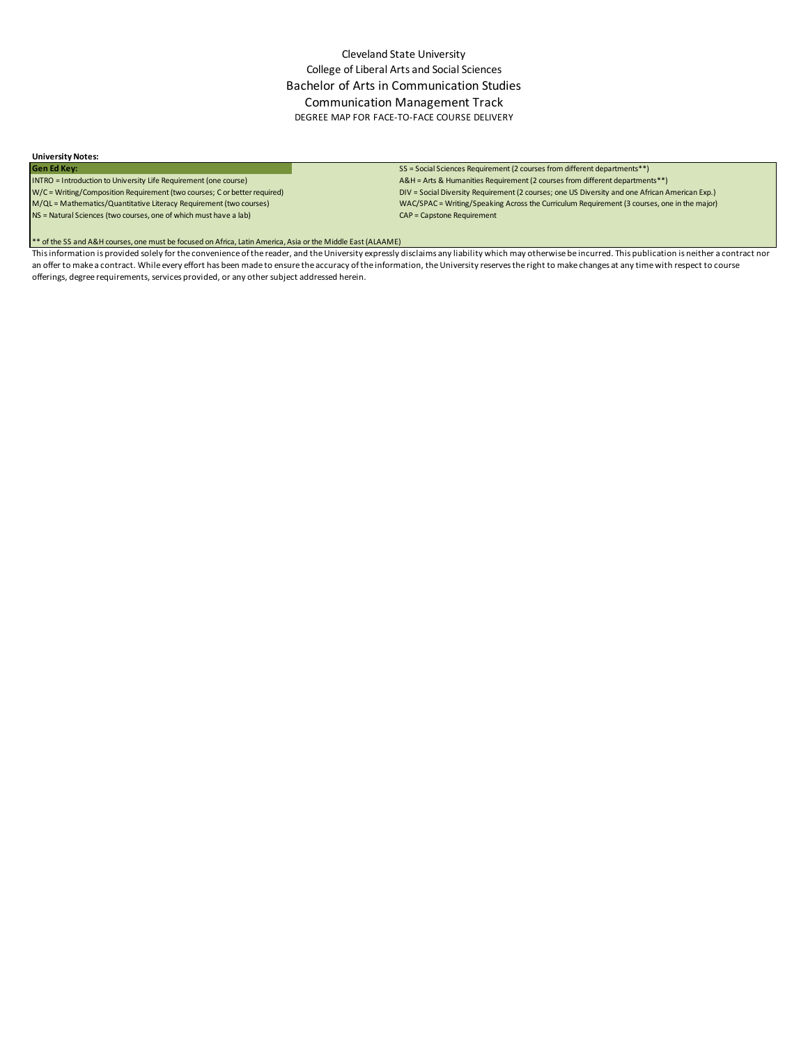## Cleveland State University College of Liberal Arts and Social Sciences Bachelor of Arts in Communication Studies Communication Management Track DEGREE MAP FOR FACE-TO-FACE COURSE DELIVERY

# **University Notes:**

NS = Natural Sciences (two courses, one of which must have a lab) CAP = Capstone Requirement

#### SS = Social Sciences Requirement (2 courses from different departments<sup>\*\*</sup>)

INTRO = Introduction to University Life Requirement (one course) A&H = Arts & Humanities Requirement (2 courses from different departments\*\*) DIV = Social Diversity Requirement (2 courses; one US Diversity and one African American Exp.) M/QL = Mathematics/Quantitative Literacy Requirement (two courses) WAC/SPAC = Writing/Speaking Across the Curriculum Requirement (3 courses, one in the major)

\*\* of the SS and A&H courses, one must be focused on Africa, Latin America, Asia or the Middle East (ALAAME)

This information is provided solely for the convenience of the reader, and the University expressly disclaims any liability which may otherwise be incurred. This publication is neither a contract nor an offer to make a contract. While every effort has been made to ensure the accuracy of the information, the University reserves the right to make changes at any time with respect to course offerings, degree requirements, services provided, or any other subject addressed herein.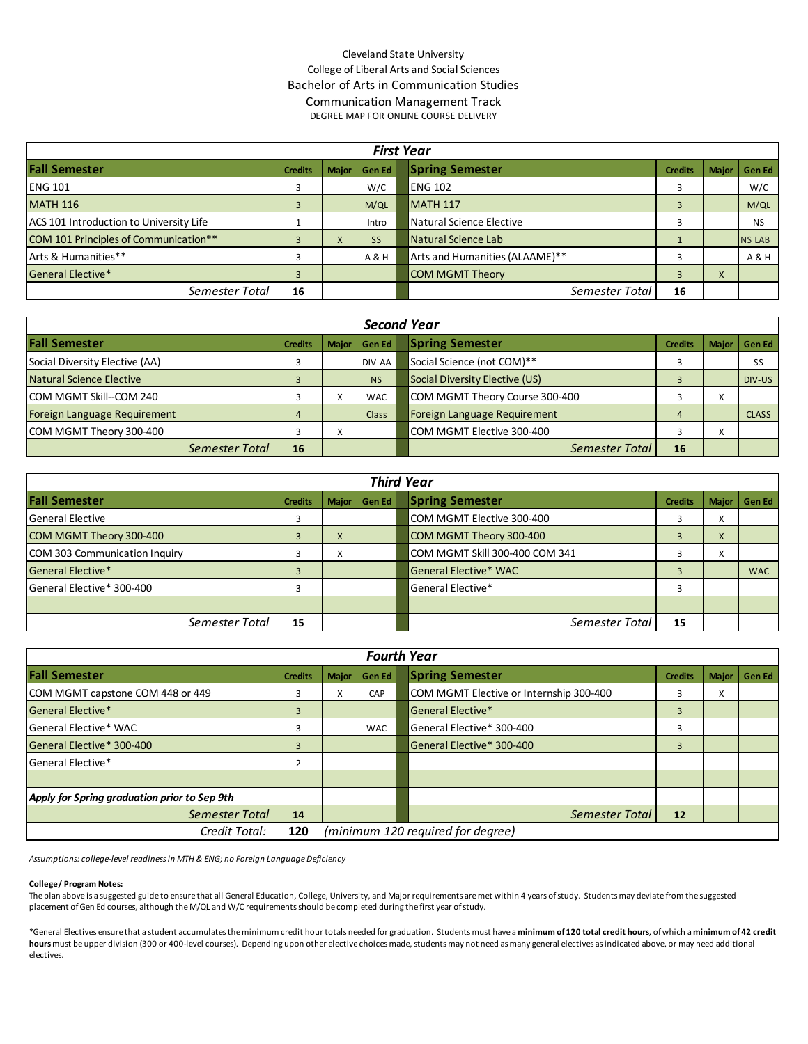## Cleveland State University College of Liberal Arts and Social Sciences Bachelor of Arts in Communication Studies Communication Management Track

DEGREE MAP FOR ONLINE COURSE DELIVERY

| <b>First Year</b>                       |                |              |           |                                |                |              |               |
|-----------------------------------------|----------------|--------------|-----------|--------------------------------|----------------|--------------|---------------|
| <b>Fall Semester</b>                    | <b>Credits</b> | <b>Major</b> | Gen Ed    | <b>Spring Semester</b>         | <b>Credits</b> | <b>Major</b> | <b>Gen Ed</b> |
| <b>ENG 101</b>                          |                |              | W/C       | ENG 102                        |                |              | W/C           |
| <b>MATH 116</b>                         |                |              | M/QL      | <b>MATH 117</b>                |                |              | M/QL          |
| ACS 101 Introduction to University Life |                |              | Intro     | Natural Science Elective       |                |              | <b>NS</b>     |
| COM 101 Principles of Communication**   |                | $\mathbf{A}$ | <b>SS</b> | Natural Science Lab            |                |              | <b>NS LAB</b> |
| Arts & Humanities**                     |                |              | A & H     | Arts and Humanities (ALAAME)** |                |              | A & H         |
| <b>General Elective*</b>                |                |              |           | <b>COM MGMT Theory</b>         |                | $\Lambda$    |               |
| Semester Total                          | 16             |              |           | Semester Total                 | 16             |              |               |

| <b>Second Year</b>              |                |                           |            |                                |                |                        |              |
|---------------------------------|----------------|---------------------------|------------|--------------------------------|----------------|------------------------|--------------|
| <b>Fall Semester</b>            | <b>Credits</b> | <b>Maior</b>              | Gen Ed     | <b>Spring Semester</b>         | <b>Credits</b> | <b>Major</b>           | l Gen Ed l   |
| Social Diversity Elective (AA)  |                |                           | DIV-AA     | Social Science (not COM)**     |                |                        | SS           |
| Natural Science Elective        |                |                           | <b>NS</b>  | Social Diversity Elective (US) |                |                        | DIV-US       |
| <b>ICOM MGMT Skill--COM 240</b> |                | $\checkmark$<br>$\lambda$ | <b>WAC</b> | COM MGMT Theory Course 300-400 |                | $\checkmark$<br>$\sim$ |              |
| Foreign Language Requirement    | 4              |                           | Class      | Foreign Language Requirement   |                |                        | <b>CLASS</b> |
| COM MGMT Theory 300-400         |                | $\lambda$                 |            | COM MGMT Elective 300-400      |                | $\lambda$              |              |
| Semester Total                  | 16             |                           |            | Semester Total                 | 16             |                        |              |

| <b>Third Year</b>             |                |                   |                |                                          |                |  |  |
|-------------------------------|----------------|-------------------|----------------|------------------------------------------|----------------|--|--|
| <b>Fall Semester</b>          | <b>Credits</b> |                   | Major   Gen Ed | <b>Spring Semester</b><br><b>Credits</b> | Major   Gen Ed |  |  |
| <b>General Elective</b>       |                |                   |                | COM MGMT Elective 300-400<br>∧           |                |  |  |
| COM MGMT Theory 300-400       |                | $\lambda$         |                | COM MGMT Theory 300-400<br>X             |                |  |  |
| COM 303 Communication Inquiry |                | $\checkmark$<br>v |                | COM MGMT Skill 300-400 COM 341<br>∧      |                |  |  |
| General Elective*             |                |                   |                | General Elective* WAC                    | <b>WAC</b>     |  |  |
| General Elective* 300-400     |                |                   |                | lGeneral Elective*                       |                |  |  |
|                               |                |                   |                |                                          |                |  |  |
| Semester Total                | 15             |                   |                | Semester Total<br>15                     |                |  |  |

| <b>Fourth Year</b>                           |                |                                   |            |                                                                    |  |  |  |
|----------------------------------------------|----------------|-----------------------------------|------------|--------------------------------------------------------------------|--|--|--|
| <b>Fall Semester</b>                         | <b>Credits</b> | <b>Major</b>                      | Gen Ed     | <b>Spring Semester</b><br><b>Major</b><br><b>Credits</b><br>Gen Ed |  |  |  |
| COM MGMT capstone COM 448 or 449             | З              | x                                 | CAP        | COM MGMT Elective or Internship 300-400<br>$\checkmark$<br>Λ.      |  |  |  |
| General Elective*                            | $\overline{3}$ |                                   |            | General Elective*<br>3                                             |  |  |  |
| <b>General Elective* WAC</b>                 |                |                                   | <b>WAC</b> | General Elective* 300-400<br>3                                     |  |  |  |
| General Elective* 300-400                    | 3              |                                   |            | General Elective* 300-400<br>3                                     |  |  |  |
| <b>General Elective*</b>                     |                |                                   |            |                                                                    |  |  |  |
|                                              |                |                                   |            |                                                                    |  |  |  |
| Apply for Spring graduation prior to Sep 9th |                |                                   |            |                                                                    |  |  |  |
| Semester Total                               | 14             |                                   |            | Semester Total<br>12                                               |  |  |  |
| Credit Total:                                | 120            | (minimum 120 required for degree) |            |                                                                    |  |  |  |

*Assumptions: college-level readiness in MTH & ENG; no Foreign Language Deficiency*

#### **College/ Program Notes:**

The plan above is a suggested guide to ensure that all General Education, College, University, and Major requirements are met within 4 years of study. Students may deviate from the suggested placement of Gen Ed courses, although the M/QL and W/C requirements should be completed during the first year of study.

\*General Electives ensure that a student accumulates the minimum credit hour totals needed for graduation. Students must have a **minimum of 120 total credit hours**, of which a **minimum of 42 credit hours** must be upper division (300 or 400-level courses). Depending upon other elective choices made, students may not need as many general electives as indicated above, or may need additional electives.